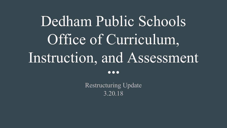# Dedham Public Schools Office of Curriculum, Instruction, and Assessment  $\bullet\bullet\bullet$

Restructuring Update 3.20.18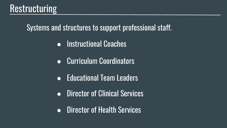## Restructuring

Systems and structures to support professional staff.

- Instructional Coaches
- Curriculum Coordinators
- Educational Team Leaders
- Director of Clinical Services
- Director of Health Services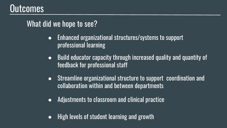### **Outcomes**

### What did we hope to see?

- Enhanced organizational structures/systems to support professional learning
- Build educator capacity through increased quality and quantity of feedback for professional staff
- Streamline organizational structure to support coordination and collaboration within and between departments
- Adjustments to classroom and clinical practice
- High levels of student learning and growth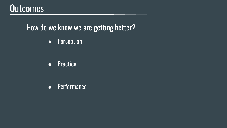### Outcomes

### How do we know we are getting better?

● Perception

● Practice

● Performance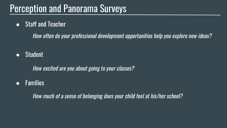## Perception and Panorama Surveys

● Staff and Teacher

How often do your professional development opportunities help you explore new ideas?

● Student

How excited are you about going to your classes?

● Families

How much of a sense of belonging does your child feel at his/her school?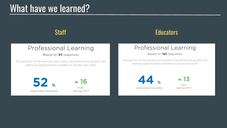### What have we learned?

### Professional Learning

Based on 93 responses

Perceptions of the amount and quality of professional growth and<br>learning opportunities available to faculty and staff.

 $\blacktriangle$  16

from

Spring 2017

 $52$  % responded favorably

### **Staff** Educators **Educators**

### Professional Learning<br>Based on 180 responses

Perceptions of the amount and quality of professional growth and learning opportunities available to faculty and staff.

 $44.$ responded favorably

 $\blacktriangle$  13 from Spring 2017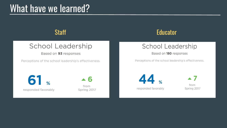### What have we learned?

# School Leadership<br>Based on **93** responses

 $\sim$  the concentration provides the concentration of the concentration of the concentration of the concentration of the concentration of the concentration of the concentration of the concentration of the concentration of t

Staff Educator Controllering Controllering Controllering Controllering Controllering Controllering Controllering Controllering Controllering Controllering Controllering Controllering Controllering Controllering Controlleri

# School Leadership<br>Based on 180 responses

Perceptions of the school leadership's effectiveness. ➢ +10% Shared Decision Making

61

responded favorably

 $\blacktriangle$  6 from Spring 2017  $\overline{44}$  %  $\overline{4}$ responded favorably

from Spring 2017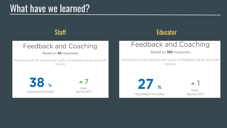### What have we learned?

## Feedback and Coaching<br>Based on **93** responses

Perceptions of the amount and quality of feedback faculty and staff receive.

### Staff Educator Controllering Controllering Controllering Controllering Controllering Controllering Controllering Controllering Controllering Controllering Controllering Controllering Controllering Controllering Controlleri

# Feedback and Coaching<br>Based on 180 responses

Perceptions of the amount and quality of feedback faculty and staff receive.

 $58<sub>u</sub>$   $47$ responded favorably

from Spring 2017

 $27$ responded favorably

 $\blacktriangle$  1 from Spring 2017